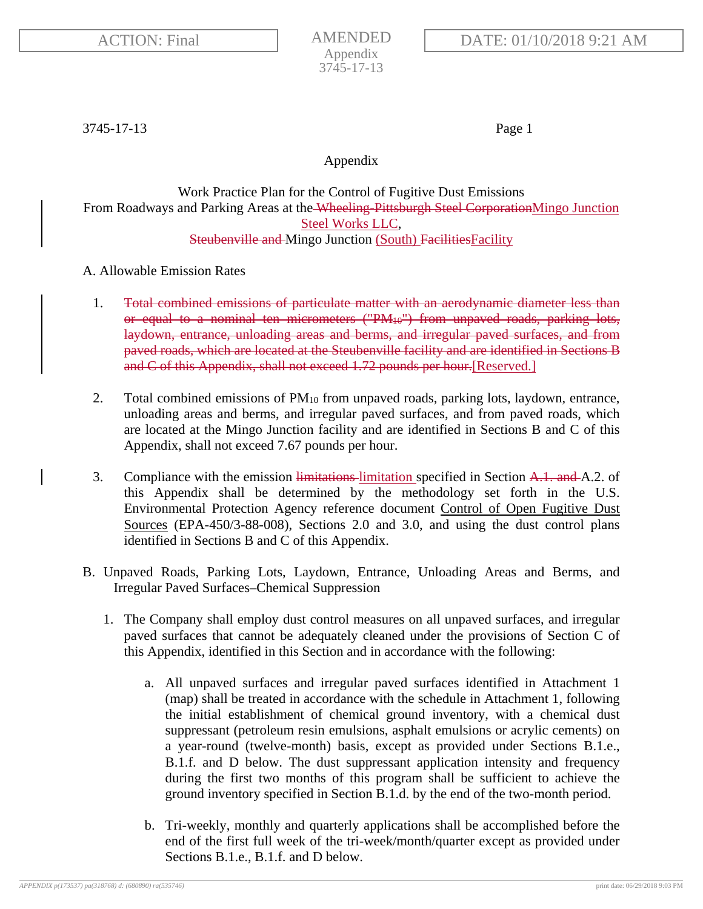3745-17-13 Page 1

Appendix

Work Practice Plan for the Control of Fugitive Dust Emissions From Roadways and Parking Areas at the Wheeling Pittsburgh Steel CorporationMingo Junction Steel Works LLC, Steubenville and Mingo Junction (South) Facilities Facility

A. Allowable Emission Rates

- 1. Total combined emissions of particulate matter with an aerodynamic diameter less than or equal to a nominal ten micrometers ("PM10") from unpaved roads, parking lots, laydown, entrance, unloading areas and berms, and irregular paved surfaces, and from paved roads, which are located at the Steubenville facility and are identified in Sections B and C of this Appendix, shall not exceed 1.72 pounds per hour.[Reserved.]
- 2. Total combined emissions of PM10 from unpaved roads, parking lots, laydown, entrance, unloading areas and berms, and irregular paved surfaces, and from paved roads, which are located at the Mingo Junction facility and are identified in Sections B and C of this Appendix, shall not exceed 7.67 pounds per hour.
- 3. Compliance with the emission limitations-limitation specified in Section A.1. and A.2. of this Appendix shall be determined by the methodology set forth in the U.S. Environmental Protection Agency reference document Control of Open Fugitive Dust Sources (EPA-450/3-88-008), Sections 2.0 and 3.0, and using the dust control plans identified in Sections B and C of this Appendix.
- B. Unpaved Roads, Parking Lots, Laydown, Entrance, Unloading Areas and Berms, and Irregular Paved Surfaces–Chemical Suppression
	- 1. The Company shall employ dust control measures on all unpaved surfaces, and irregular paved surfaces that cannot be adequately cleaned under the provisions of Section C of this Appendix, identified in this Section and in accordance with the following:
		- a. All unpaved surfaces and irregular paved surfaces identified in Attachment 1 (map) shall be treated in accordance with the schedule in Attachment 1, following the initial establishment of chemical ground inventory, with a chemical dust suppressant (petroleum resin emulsions, asphalt emulsions or acrylic cements) on a year-round (twelve-month) basis, except as provided under Sections B.1.e., B.1.f. and D below. The dust suppressant application intensity and frequency during the first two months of this program shall be sufficient to achieve the ground inventory specified in Section B.1.d. by the end of the two-month period.
		- b. Tri-weekly, monthly and quarterly applications shall be accomplished before the end of the first full week of the tri-week/month/quarter except as provided under Sections B.1.e., B.1.f. and D below.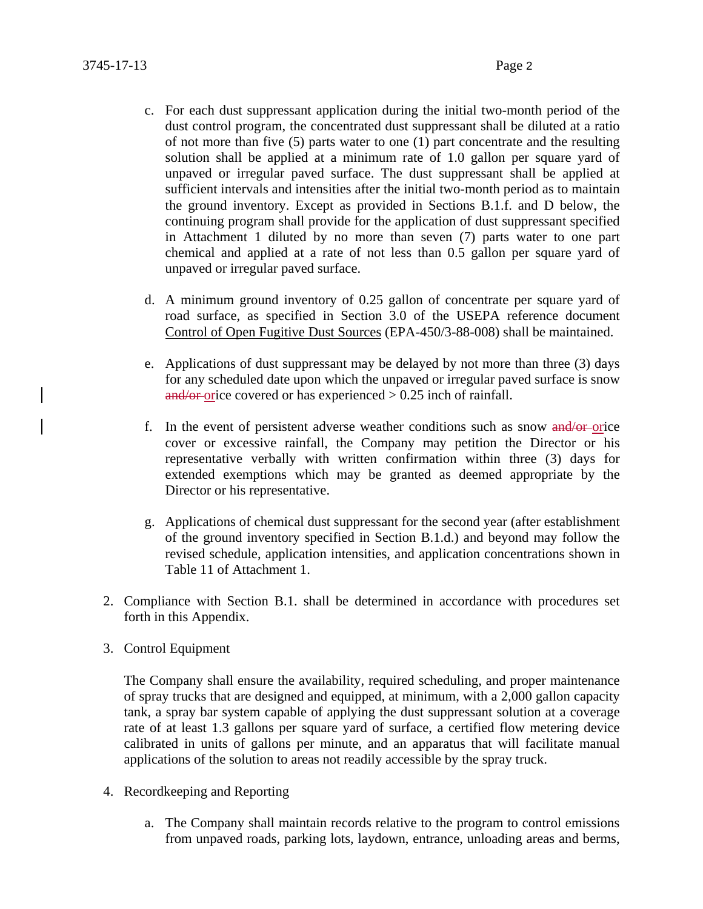- c. For each dust suppressant application during the initial two-month period of the dust control program, the concentrated dust suppressant shall be diluted at a ratio of not more than five (5) parts water to one (1) part concentrate and the resulting solution shall be applied at a minimum rate of 1.0 gallon per square yard of unpaved or irregular paved surface. The dust suppressant shall be applied at sufficient intervals and intensities after the initial two-month period as to maintain the ground inventory. Except as provided in Sections B.1.f. and D below, the continuing program shall provide for the application of dust suppressant specified in Attachment 1 diluted by no more than seven (7) parts water to one part chemical and applied at a rate of not less than 0.5 gallon per square yard of unpaved or irregular paved surface.
- d. A minimum ground inventory of 0.25 gallon of concentrate per square yard of road surface, as specified in Section 3.0 of the USEPA reference document Control of Open Fugitive Dust Sources (EPA-450/3-88-008) shall be maintained.
- e. Applications of dust suppressant may be delayed by not more than three (3) days for any scheduled date upon which the unpaved or irregular paved surface is snow  $\frac{\text{and/or}}{\text{or}}$  orice covered or has experienced  $> 0.25$  inch of rainfall.
- f. In the event of persistent adverse weather conditions such as snow and/or orice cover or excessive rainfall, the Company may petition the Director or his representative verbally with written confirmation within three (3) days for extended exemptions which may be granted as deemed appropriate by the Director or his representative.
- g. Applications of chemical dust suppressant for the second year (after establishment of the ground inventory specified in Section B.1.d.) and beyond may follow the revised schedule, application intensities, and application concentrations shown in Table 11 of Attachment 1.
- 2. Compliance with Section B.1. shall be determined in accordance with procedures set forth in this Appendix.
- 3. Control Equipment

The Company shall ensure the availability, required scheduling, and proper maintenance of spray trucks that are designed and equipped, at minimum, with a 2,000 gallon capacity tank, a spray bar system capable of applying the dust suppressant solution at a coverage rate of at least 1.3 gallons per square yard of surface, a certified flow metering device calibrated in units of gallons per minute, and an apparatus that will facilitate manual applications of the solution to areas not readily accessible by the spray truck.

- 4. Recordkeeping and Reporting
	- a. The Company shall maintain records relative to the program to control emissions from unpaved roads, parking lots, laydown, entrance, unloading areas and berms,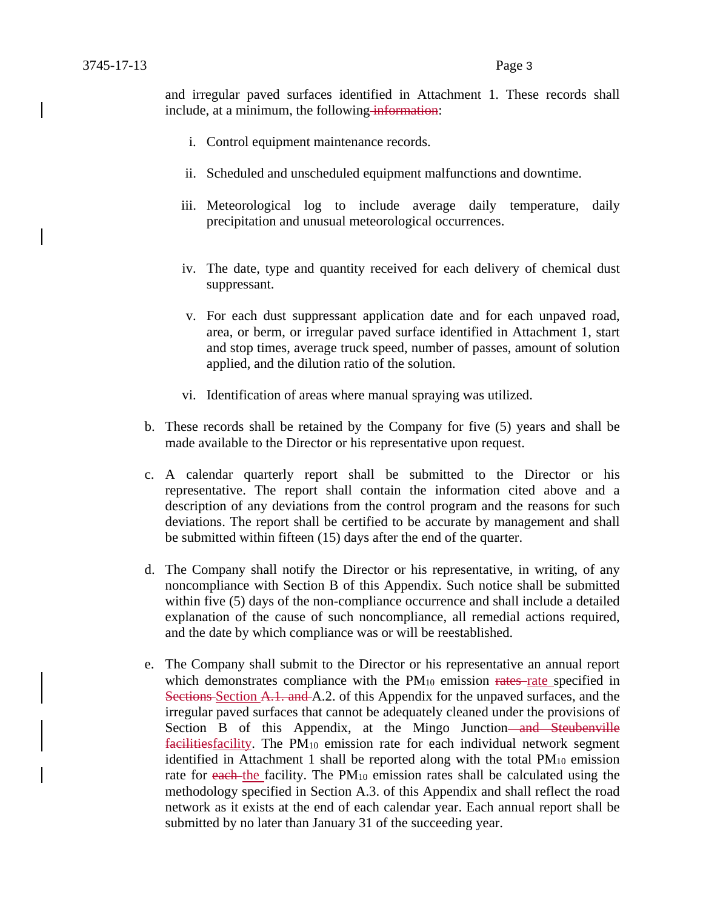and irregular paved surfaces identified in Attachment 1. These records shall include, at a minimum, the following information:

- i. Control equipment maintenance records.
- ii. Scheduled and unscheduled equipment malfunctions and downtime.
- iii. Meteorological log to include average daily temperature, daily precipitation and unusual meteorological occurrences.
- iv. The date, type and quantity received for each delivery of chemical dust suppressant.
- v. For each dust suppressant application date and for each unpaved road, area, or berm, or irregular paved surface identified in Attachment 1, start and stop times, average truck speed, number of passes, amount of solution applied, and the dilution ratio of the solution.
- vi. Identification of areas where manual spraying was utilized.
- b. These records shall be retained by the Company for five (5) years and shall be made available to the Director or his representative upon request.
- c. A calendar quarterly report shall be submitted to the Director or his representative. The report shall contain the information cited above and a description of any deviations from the control program and the reasons for such deviations. The report shall be certified to be accurate by management and shall be submitted within fifteen (15) days after the end of the quarter.
- d. The Company shall notify the Director or his representative, in writing, of any noncompliance with Section B of this Appendix. Such notice shall be submitted within five (5) days of the non-compliance occurrence and shall include a detailed explanation of the cause of such noncompliance, all remedial actions required, and the date by which compliance was or will be reestablished.
- e. The Company shall submit to the Director or his representative an annual report which demonstrates compliance with the  $PM_{10}$  emission rates rate specified in Sections Section A.1. and A.2. of this Appendix for the unpaved surfaces, and the irregular paved surfaces that cannot be adequately cleaned under the provisions of Section B of this Appendix, at the Mingo Junction—and Steubenville facilitiesfacility. The PM10 emission rate for each individual network segment identified in Attachment 1 shall be reported along with the total PM10 emission rate for each the facility. The PM<sub>10</sub> emission rates shall be calculated using the methodology specified in Section A.3. of this Appendix and shall reflect the road network as it exists at the end of each calendar year. Each annual report shall be submitted by no later than January 31 of the succeeding year.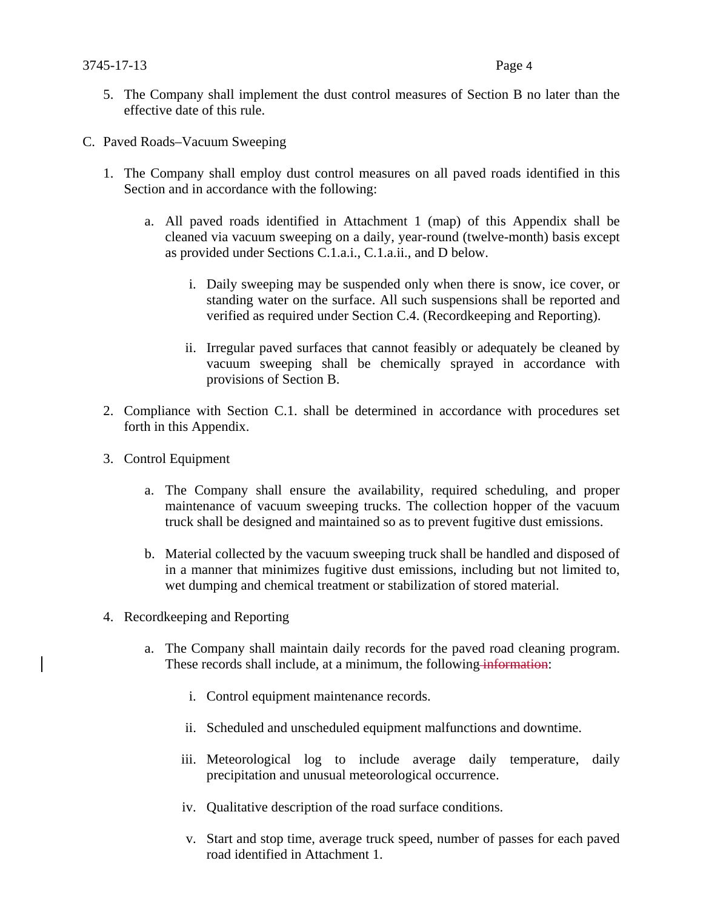- 5. The Company shall implement the dust control measures of Section B no later than the effective date of this rule.
- C. Paved Roads–Vacuum Sweeping
	- 1. The Company shall employ dust control measures on all paved roads identified in this Section and in accordance with the following:
		- a. All paved roads identified in Attachment 1 (map) of this Appendix shall be cleaned via vacuum sweeping on a daily, year-round (twelve-month) basis except as provided under Sections C.1.a.i., C.1.a.ii., and D below.
			- i. Daily sweeping may be suspended only when there is snow, ice cover, or standing water on the surface. All such suspensions shall be reported and verified as required under Section C.4. (Recordkeeping and Reporting).
			- ii. Irregular paved surfaces that cannot feasibly or adequately be cleaned by vacuum sweeping shall be chemically sprayed in accordance with provisions of Section B.
	- 2. Compliance with Section C.1. shall be determined in accordance with procedures set forth in this Appendix.
	- 3. Control Equipment
		- a. The Company shall ensure the availability, required scheduling, and proper maintenance of vacuum sweeping trucks. The collection hopper of the vacuum truck shall be designed and maintained so as to prevent fugitive dust emissions.
		- b. Material collected by the vacuum sweeping truck shall be handled and disposed of in a manner that minimizes fugitive dust emissions, including but not limited to, wet dumping and chemical treatment or stabilization of stored material.
	- 4. Recordkeeping and Reporting
		- a. The Company shall maintain daily records for the paved road cleaning program. These records shall include, at a minimum, the following information:
			- i. Control equipment maintenance records.
			- ii. Scheduled and unscheduled equipment malfunctions and downtime.
			- iii. Meteorological log to include average daily temperature, daily precipitation and unusual meteorological occurrence.
			- iv. Qualitative description of the road surface conditions.
			- v. Start and stop time, average truck speed, number of passes for each paved road identified in Attachment 1.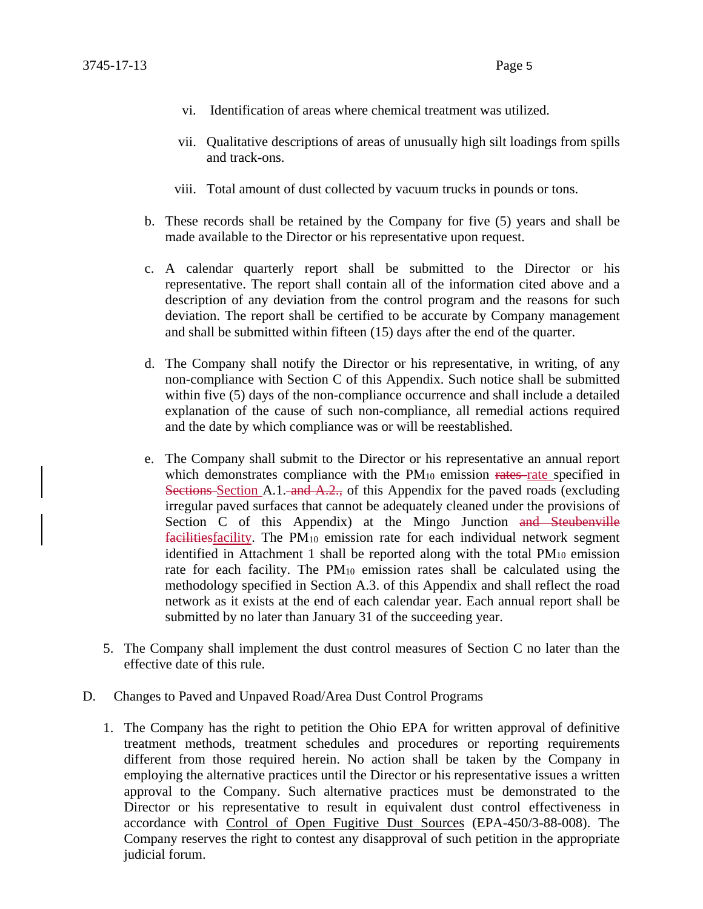- vi. Identification of areas where chemical treatment was utilized.
- vii. Qualitative descriptions of areas of unusually high silt loadings from spills and track-ons.
- viii. Total amount of dust collected by vacuum trucks in pounds or tons.
- b. These records shall be retained by the Company for five (5) years and shall be made available to the Director or his representative upon request.
- c. A calendar quarterly report shall be submitted to the Director or his representative. The report shall contain all of the information cited above and a description of any deviation from the control program and the reasons for such deviation. The report shall be certified to be accurate by Company management and shall be submitted within fifteen (15) days after the end of the quarter.
- d. The Company shall notify the Director or his representative, in writing, of any non-compliance with Section C of this Appendix. Such notice shall be submitted within five (5) days of the non-compliance occurrence and shall include a detailed explanation of the cause of such non-compliance, all remedial actions required and the date by which compliance was or will be reestablished.
- e. The Company shall submit to the Director or his representative an annual report which demonstrates compliance with the  $PM_{10}$  emission rates-rate specified in Sections-Section A.1. and A.2., of this Appendix for the paved roads (excluding irregular paved surfaces that cannot be adequately cleaned under the provisions of Section C of this Appendix) at the Mingo Junction and Steubenville facilitiesfacility. The PM10 emission rate for each individual network segment identified in Attachment 1 shall be reported along with the total PM10 emission rate for each facility. The PM10 emission rates shall be calculated using the methodology specified in Section A.3. of this Appendix and shall reflect the road network as it exists at the end of each calendar year. Each annual report shall be submitted by no later than January 31 of the succeeding year.
- 5. The Company shall implement the dust control measures of Section C no later than the effective date of this rule.
- D. Changes to Paved and Unpaved Road/Area Dust Control Programs
	- 1. The Company has the right to petition the Ohio EPA for written approval of definitive treatment methods, treatment schedules and procedures or reporting requirements different from those required herein. No action shall be taken by the Company in employing the alternative practices until the Director or his representative issues a written approval to the Company. Such alternative practices must be demonstrated to the Director or his representative to result in equivalent dust control effectiveness in accordance with Control of Open Fugitive Dust Sources (EPA-450/3-88-008). The Company reserves the right to contest any disapproval of such petition in the appropriate judicial forum.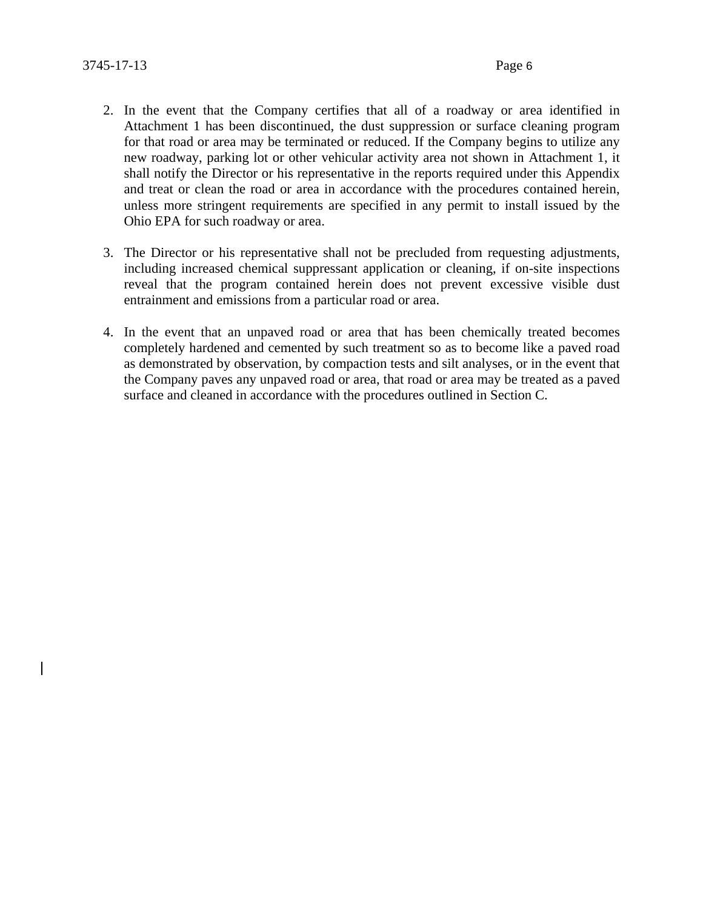- 2. In the event that the Company certifies that all of a roadway or area identified in Attachment 1 has been discontinued, the dust suppression or surface cleaning program for that road or area may be terminated or reduced. If the Company begins to utilize any new roadway, parking lot or other vehicular activity area not shown in Attachment 1, it shall notify the Director or his representative in the reports required under this Appendix and treat or clean the road or area in accordance with the procedures contained herein, unless more stringent requirements are specified in any permit to install issued by the Ohio EPA for such roadway or area.
- 3. The Director or his representative shall not be precluded from requesting adjustments, including increased chemical suppressant application or cleaning, if on-site inspections reveal that the program contained herein does not prevent excessive visible dust entrainment and emissions from a particular road or area.
- 4. In the event that an unpaved road or area that has been chemically treated becomes completely hardened and cemented by such treatment so as to become like a paved road as demonstrated by observation, by compaction tests and silt analyses, or in the event that the Company paves any unpaved road or area, that road or area may be treated as a paved surface and cleaned in accordance with the procedures outlined in Section C.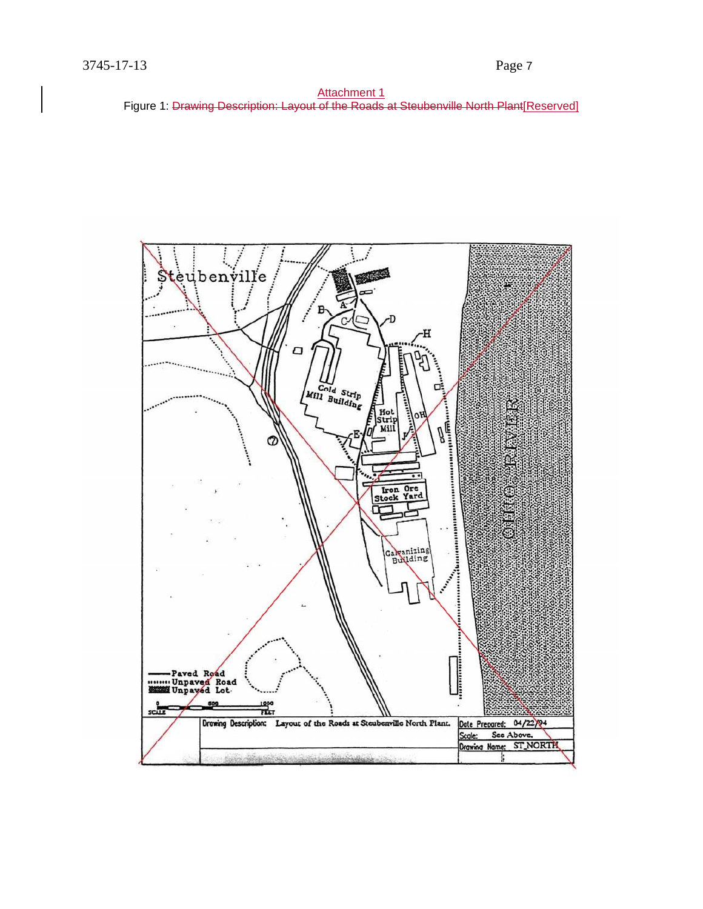

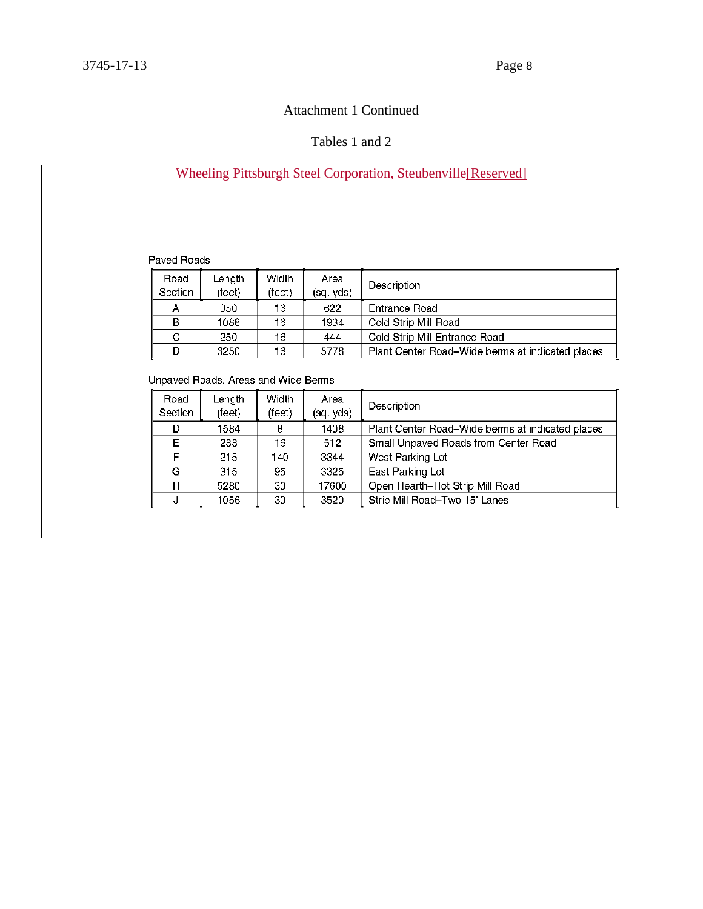#### Tables 1 and 2

### Wheeling Pittsburgh Steel Corporation, Steubenville[Reserved]

#### Paved Roads

| Road<br>Section | ∟ength<br>(feet) | Width<br>(feet) | Area<br>(sq. yds) | Description                                      |
|-----------------|------------------|-----------------|-------------------|--------------------------------------------------|
|                 | 350              | 16              | 622               | Entrance Road                                    |
| в               | 1088             | 16              | 1934              | Cold Strip Mill Road                             |
| С               | 250              | 16              | 444               | Cold Strip Mill Entrance Road                    |
|                 | 3250             | 16              | 5778              | Plant Center Road–Wide berms at indicated places |

#### Unpaved Roads, Areas and Wide Berms

| Road<br>Section | Length<br>(feet) | Width<br>(feet) | Area<br>(sq. yds) | Description                                      |
|-----------------|------------------|-----------------|-------------------|--------------------------------------------------|
| D               | 1584             | 8               | 1408              | Plant Center Road–Wide berms at indicated places |
| Е               | 288              | 16              | 512               | Small Unpaved Roads from Center Road             |
| F               | 215              | 140             | 3344              | West Parking Lot                                 |
| G               | 315              | 95              | 3325              | East Parking Lot                                 |
| н               | 5280             | 30              | 17600             | Open Hearth-Hot Strip Mill Road                  |
|                 | 1056             | 30              | 3520              | Strip Mill Road-Two 15' Lanes                    |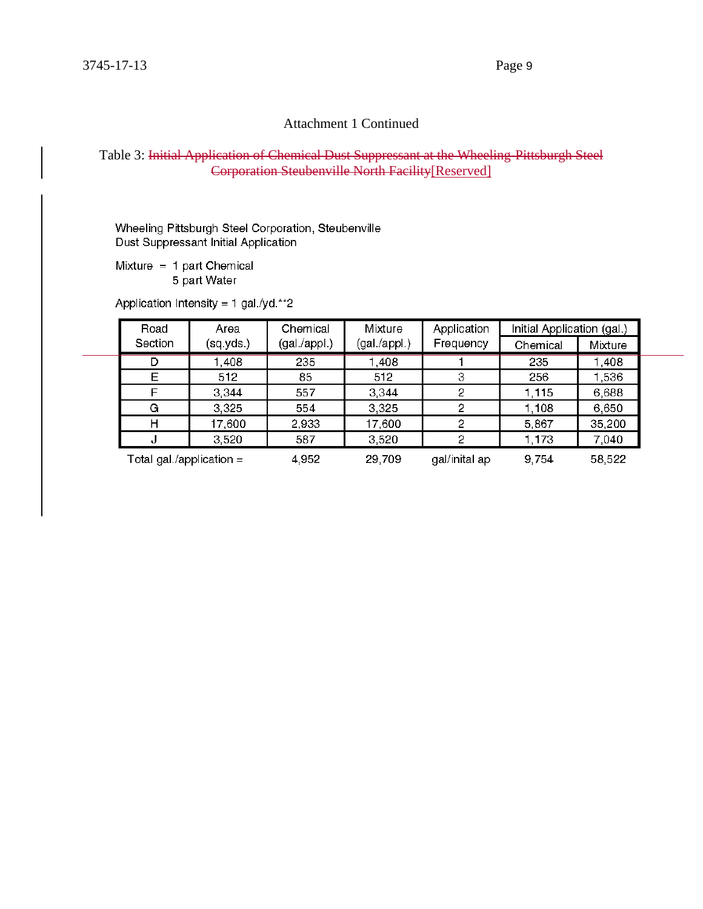#### Table 3: Initial Application of Chemical Dust Suppressant at the Wheeling-Pittsburgh Steel Corporation Steubenville North Facility[Reserved]

Wheeling Pittsburgh Steel Corporation, Steubenville Dust Suppressant Initial Application

Mixture  $= 1$  part Chemical 5 part Water

Application Intensity = 1 gal./yd.\*\*2

| Road                       | Area      | Chemical     | Mixture      | Application   | Initial Application (gal.) |         |
|----------------------------|-----------|--------------|--------------|---------------|----------------------------|---------|
| Section                    | (sq.yds.) | (gal./appl.) | (gal /appl.) | Frequency     | Chemical                   | Mixture |
|                            | 1,408     | 235          | 1,408        |               | 235                        | 0.408   |
| Е                          | 512       | 85           | 512          | 3             | 256                        | 1,536   |
|                            | 3,344     | 557          | 3,344        | 2             | 1,115                      | 6,688   |
| G                          | 3,325     | 554          | 3,325        |               | 1,108                      | 6,650   |
| H                          | 17,600    | 2,933        | 17,600       | 2             | 5,867                      | 35,200  |
| ч.                         | 3,520     | 587          | 3,520        | 0             | 1,173                      | 7,040   |
| Total gal./application $=$ |           | 4,952        | 29,709       | gal/inital ap | 9,754                      | 58,522  |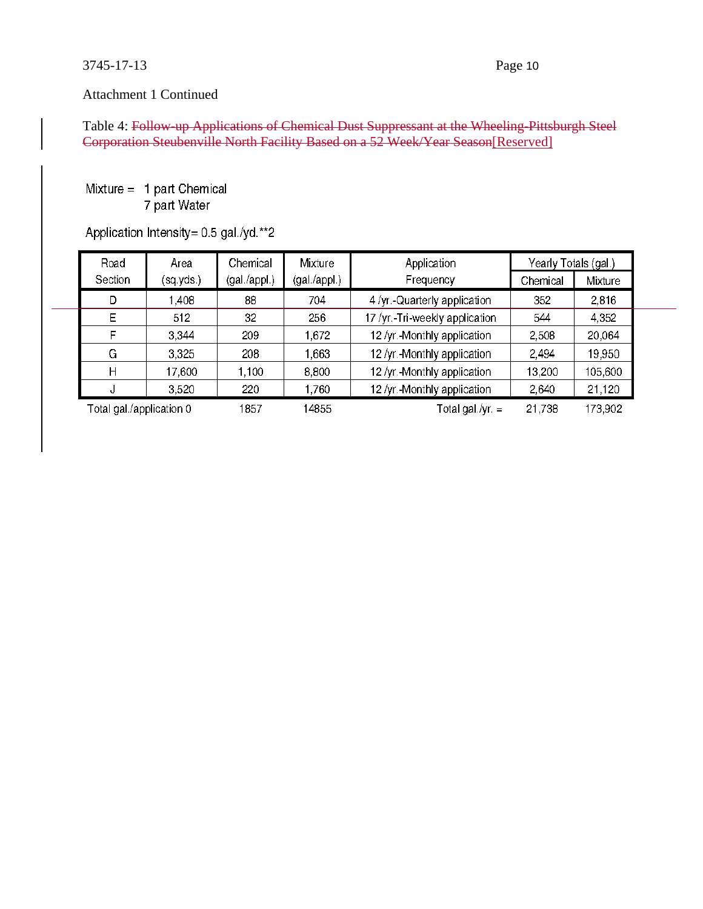Table 4: Follow-up Applications of Chemical Dust Suppressant at the Wheeling-Pittsburgh Steel Corporation Steubenville North Facility Based on a 52 Week/Year Season[Reserved]

#### Mixture =  $1$  part Chemical 7 part Water

# Application Intensity= 0.5 gal./yd.\*\*2

| Road                     | Area      | Chemical     | Mixture      | Application                    | Yearly Totals (gal.) |         |
|--------------------------|-----------|--------------|--------------|--------------------------------|----------------------|---------|
| Section                  | (sq.yds.) | (gal /appl.) | (gal /appl.) | Frequency                      | Chemical             | Mixture |
| D                        | 1,408     | 88           | 704          | 4 /yr.-Quarterly application   | 352                  | 2,816   |
| E                        | 512       | 32           | 256          | 17 /yr.-Tri-weekly application | 544                  | 4,352   |
| F                        | 3,344     | 209          | 1,672        | 12 /yr.-Monthly application    | 2,508                | 20,064  |
| G                        | 3,325     | 208          | 1,663        | 12 /yr.-Monthly application    | 2,494                | 19,950  |
| Н                        | 17,600    | 1.100        | 8,800        | 12 /yr.-Monthly application    | 13,200               | 105,600 |
| υ                        | 3,520     | 220          | 1,760        | 12 /yr.-Monthly application    | 2,640                | 21,120  |
| Total gal /application 0 |           | 1857         | 14855        | Total gal./yr. $=$             | 21,738               | 173,902 |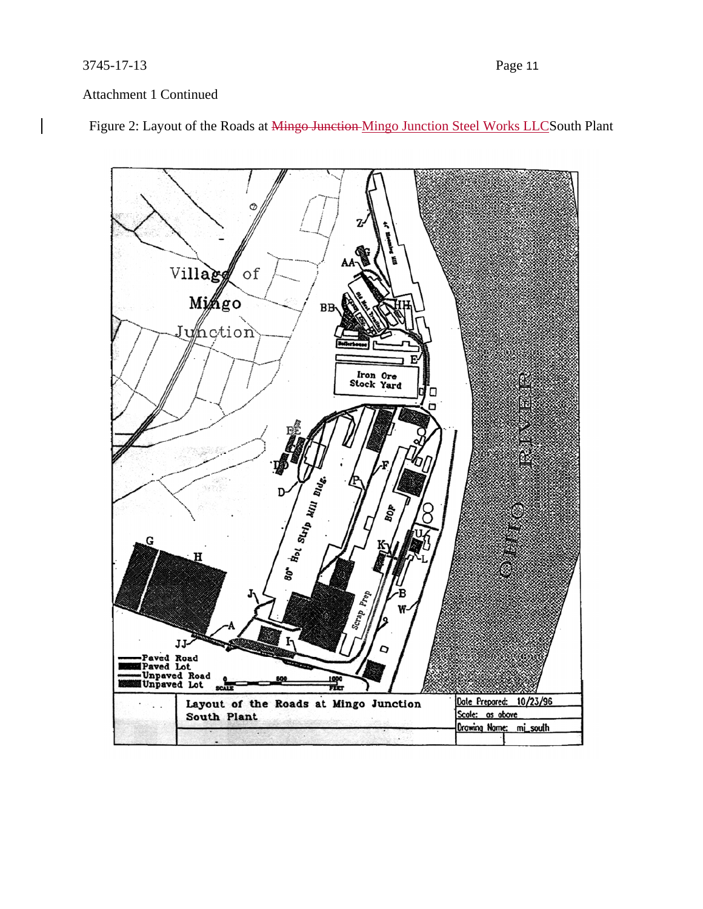Figure 2: Layout of the Roads at Mingo Junction Mingo Junction Steel Works LLCSouth Plant

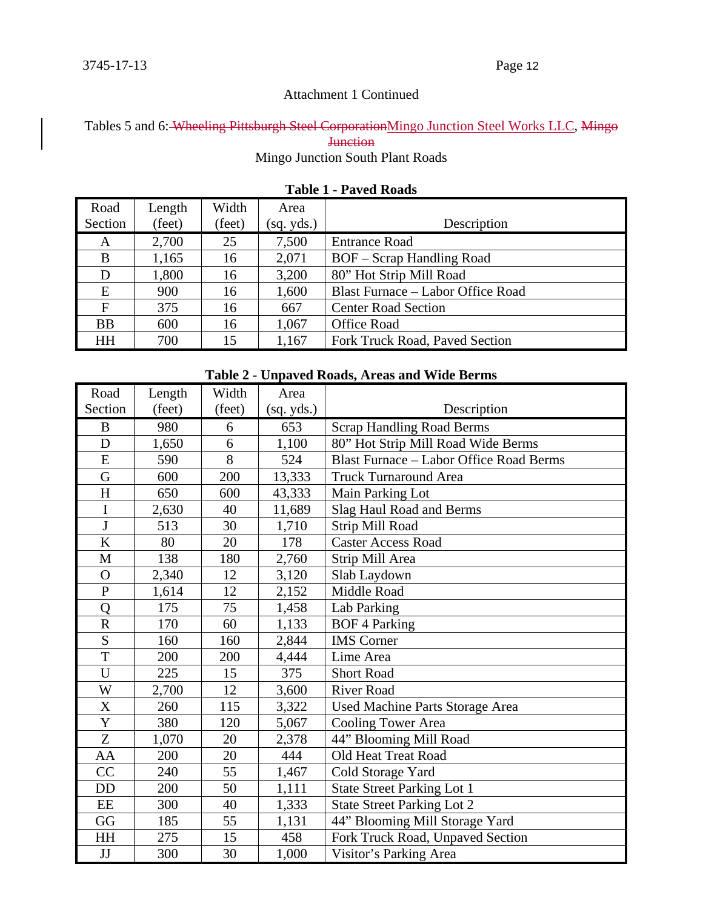Tables 5 and 6: Wheeling Pittsburgh Steel Corporation Mingo Junction Steel Works LLC, Mingo **Junction** 

Mingo Junction South Plant Roads

| Road        | Length | Width  | Area       |                                   |
|-------------|--------|--------|------------|-----------------------------------|
| Section     | (feet) | (feet) | (sq. yds.) | Description                       |
| A           | 2,700  | 25     | 7,500      | <b>Entrance Road</b>              |
| B           | 1,165  | 16     | 2,071      | <b>BOF</b> – Scrap Handling Road  |
| D           | 1,800  | 16     | 3,200      | 80" Hot Strip Mill Road           |
| E           | 900    | 16     | 1,600      | Blast Furnace – Labor Office Road |
| $\mathbf F$ | 375    | 16     | 667        | <b>Center Road Section</b>        |
| <b>BB</b>   | 600    | 16     | 1,067      | <b>Office Road</b>                |
| <b>HH</b>   | 700    | 15     | 1,167      | Fork Truck Road, Paved Section    |

#### **Table 1 - Paved Roads**

# **Table 2 - Unpaved Roads, Areas and Wide Berms**

| Road                  | Length | Width  | Area       |                                                |
|-----------------------|--------|--------|------------|------------------------------------------------|
| Section               | (feet) | (feet) | (sq. yds.) | Description                                    |
| B                     | 980    | 6      | 653        | <b>Scrap Handling Road Berms</b>               |
| D                     | 1,650  | 6      | 1,100      | 80" Hot Strip Mill Road Wide Berms             |
| E                     | 590    | 8      | 524        | <b>Blast Furnace - Labor Office Road Berms</b> |
| $\overline{G}$        | 600    | 200    | 13,333     | <b>Truck Turnaround Area</b>                   |
| H                     | 650    | 600    | 43,333     | Main Parking Lot                               |
| $\mathbf I$           | 2,630  | 40     | 11,689     | Slag Haul Road and Berms                       |
| $\mathbf{J}$          | 513    | 30     | 1,710      | Strip Mill Road                                |
| $\bf K$               | 80     | 20     | 178        | <b>Caster Access Road</b>                      |
| M                     | 138    | 180    | 2,760      | Strip Mill Area                                |
| $\mathbf O$           | 2,340  | 12     | 3,120      | Slab Laydown                                   |
| $\mathbf{P}$          | 1,614  | 12     | 2,152      | Middle Road                                    |
| Q                     | 175    | 75     | 1,458      | Lab Parking                                    |
| $\overline{\text{R}}$ | 170    | 60     | 1,133      | <b>BOF 4 Parking</b>                           |
| S                     | 160    | 160    | 2,844      | <b>IMS</b> Corner                              |
| T                     | 200    | 200    | 4,444      | Lime Area                                      |
| U                     | 225    | 15     | 375        | <b>Short Road</b>                              |
| W                     | 2,700  | 12     | 3,600      | <b>River Road</b>                              |
| $\mathbf X$           | 260    | 115    | 3,322      | Used Machine Parts Storage Area                |
| Y                     | 380    | 120    | 5,067      | <b>Cooling Tower Area</b>                      |
| Z                     | 1,070  | 20     | 2,378      | 44" Blooming Mill Road                         |
| AA                    | 200    | 20     | 444        | Old Heat Treat Road                            |
| CC                    | 240    | 55     | 1,467      | Cold Storage Yard                              |
| DD                    | 200    | 50     | 1,111      | <b>State Street Parking Lot 1</b>              |
| EE                    | 300    | 40     | 1,333      | <b>State Street Parking Lot 2</b>              |
| GG                    | 185    | 55     | 1,131      | 44" Blooming Mill Storage Yard                 |
| HH                    | 275    | 15     | 458        | Fork Truck Road, Unpaved Section               |
| JJ                    | 300    | 30     | 1,000      | Visitor's Parking Area                         |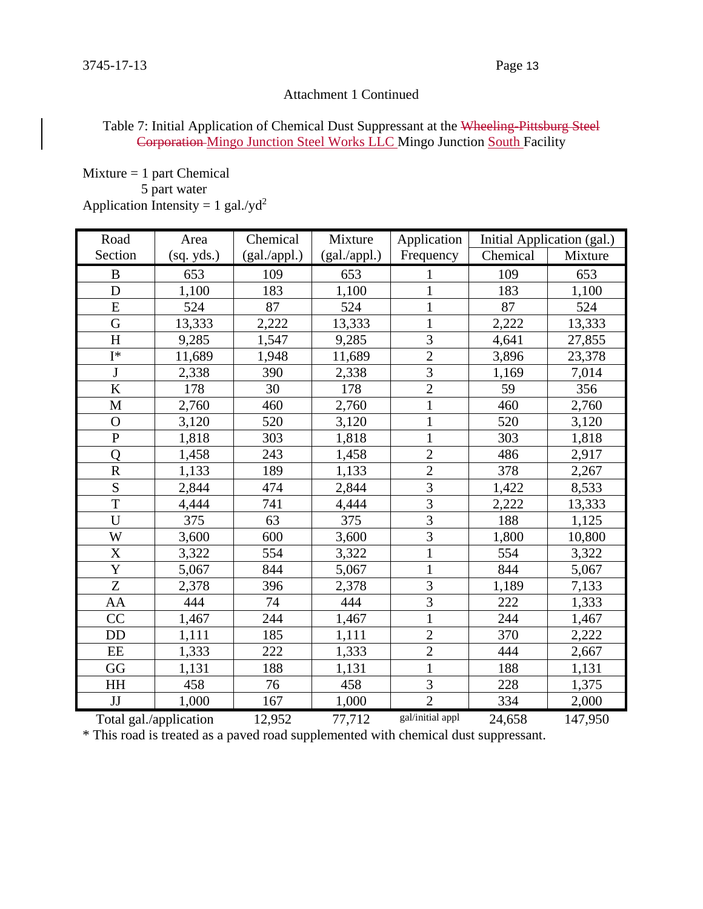#### Table 7: Initial Application of Chemical Dust Suppressant at the Wheeling-Pittsburg Steel Corporation Mingo Junction Steel Works LLC Mingo Junction South Facility

 $Mixture = 1$  part Chemical

5 part water

Application Intensity =  $1$  gal./yd<sup>2</sup>

| Road                   | Area       | Chemical     | Mixture      | Application      | Initial Application (gal.) |         |
|------------------------|------------|--------------|--------------|------------------|----------------------------|---------|
| Section                | (sq. yds.) | (gal./appl.) | (gal./appl.) | Frequency        | Chemical                   | Mixture |
| $\bf{B}$               | 653        | 109          | 653          |                  | 109                        | 653     |
| D                      | 1,100      | 183          | 1,100        |                  | 183                        | 1,100   |
| E                      | 524        | 87           | 524          | $\mathbf{1}$     | 87                         | 524     |
| G                      | 13,333     | 2,222        | 13,333       | $\mathbf{1}$     | 2,222                      | 13,333  |
| H                      | 9,285      | 1,547        | 9,285        | $\overline{3}$   | 4,641                      | 27,855  |
| $I^*$                  | 11,689     | 1,948        | 11,689       | $\overline{c}$   | 3,896                      | 23,378  |
| J                      | 2,338      | 390          | 2,338        | $\overline{3}$   | 1,169                      | 7,014   |
| K                      | 178        | 30           | 178          | $\overline{c}$   | 59                         | 356     |
| M                      | 2,760      | 460          | 2,760        | $\mathbf{1}$     | 460                        | 2,760   |
| $\overline{O}$         | 3,120      | 520          | 3,120        | $\mathbf{1}$     | 520                        | 3,120   |
| $\mathbf P$            | 1,818      | 303          | 1,818        | $\mathbf{1}$     | 303                        | 1,818   |
| Q                      | 1,458      | 243          | 1,458        | $\overline{c}$   | 486                        | 2,917   |
| $\overline{\text{R}}$  | 1,133      | 189          | 1,133        | $\overline{2}$   | 378                        | 2,267   |
| S                      | 2,844      | 474          | 2,844        | $\overline{3}$   | 1,422                      | 8,533   |
| $\overline{T}$         | 4,444      | 741          | 4,444        | $\overline{3}$   | 2,222                      | 13,333  |
| $\overline{U}$         | 375        | 63           | 375          | $\overline{3}$   | 188                        | 1,125   |
| W                      | 3,600      | 600          | 3,600        | 3                | 1,800                      | 10,800  |
| X                      | 3,322      | 554          | 3,322        | $\mathbf{1}$     | 554                        | 3,322   |
| $\overline{\text{Y}}$  | 5,067      | 844          | 5,067        | $\mathbf{1}$     | 844                        | 5,067   |
| Z                      | 2,378      | 396          | 2,378        | 3                | 1,189                      | 7,133   |
| AA                     | 444        | 74           | 444          | 3                | 222                        | 1,333   |
| CC                     | 1,467      | 244          | 1,467        | $\mathbf{1}$     | 244                        | 1,467   |
| <b>DD</b>              | 1,111      | 185          | 1,111        | $\overline{2}$   | 370                        | 2,222   |
| EE                     | 1,333      | 222          | 1,333        | $\overline{2}$   | 444                        | 2,667   |
| GG                     | 1,131      | 188          | 1,131        | $\mathbf{1}$     | 188                        | 1,131   |
| HH                     | 458        | 76           | 458          | 3                | 228                        | 1,375   |
| JJ                     | 1,000      | 167          | 1,000        | $\overline{2}$   | 334                        | 2,000   |
| Total gal./application |            | 12,952       | 77,712       | gal/initial appl | 24,658                     | 147,950 |

\* This road is treated as a paved road supplemented with chemical dust suppressant.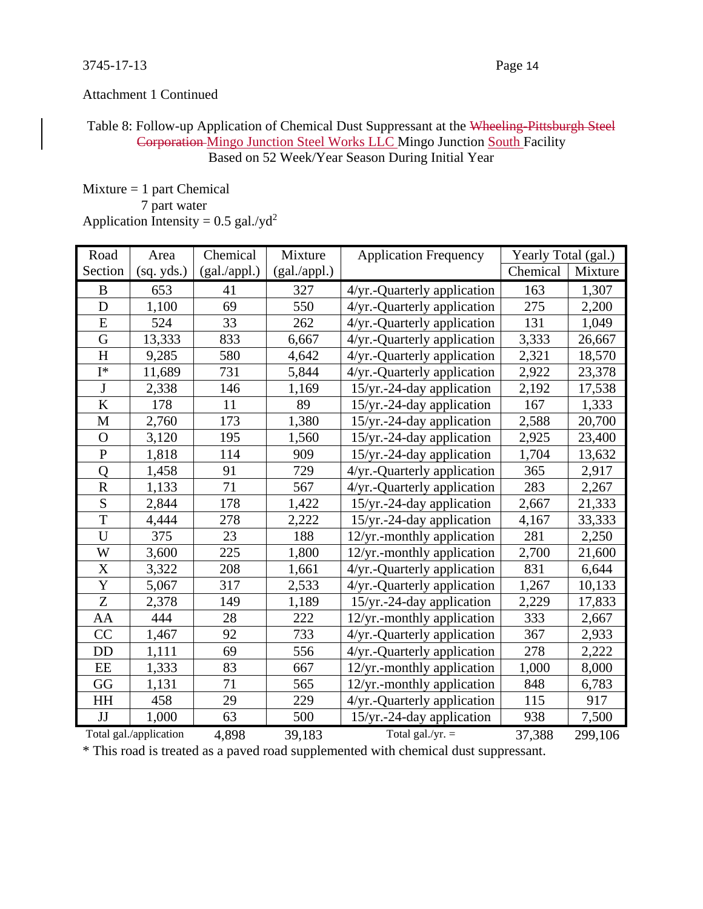#### Table 8: Follow-up Application of Chemical Dust Suppressant at the Wheeling-Pittsburgh Steel Corporation Mingo Junction Steel Works LLC Mingo Junction South Facility Based on 52 Week/Year Season During Initial Year

 $Mixture = 1$  part Chemical 7 part water Application Intensity =  $0.5$  gal./yd<sup>2</sup>

| Road                  | Area                   | Chemical     | Mixture      | <b>Application Frequency</b>  | Yearly Total (gal.) |         |
|-----------------------|------------------------|--------------|--------------|-------------------------------|---------------------|---------|
| Section               | (sq. yds.)             | (gal./appl.) | (gal./appl.) |                               | Chemical            | Mixture |
| B                     | 653                    | 41           | 327          | 4/yr.-Quarterly application   | 163                 | 1,307   |
| D                     | 1,100                  | 69           | 550          | 4/yr.-Quarterly application   | 275                 | 2,200   |
| $\overline{E}$        | 524                    | 33           | 262          | 4/yr.-Quarterly application   | 131                 | 1,049   |
| G                     | 13,333                 | 833          | 6,667        | 4/yr.-Quarterly application   | 3,333               | 26,667  |
| H                     | 9,285                  | 580          | 4,642        | 4/yr.-Quarterly application   | 2,321               | 18,570  |
| $I^*$                 | 11,689                 | 731          | 5,844        | 4/yr.-Quarterly application   | 2,922               | 23,378  |
| $\mathbf J$           | 2,338                  | 146          | 1,169        | 15/yr.-24-day application     | 2,192               | 17,538  |
| $\rm K$               | 178                    | 11           | 89           | $15/yr.-24$ -day application  | 167                 | 1,333   |
| M                     | 2,760                  | 173          | 1,380        | 15/yr.-24-day application     | 2,588               | 20,700  |
| $\mathbf O$           | 3,120                  | 195          | 1,560        | $15/yr.-24$ -day application  | 2,925               | 23,400  |
| $\mathbf{P}$          | 1,818                  | 114          | 909          | $15/yr.-24$ -day application  | 1,704               | 13,632  |
| Q                     | 1,458                  | 91           | 729          | 4/yr.-Quarterly application   | 365                 | 2,917   |
| ${\bf R}$             | 1,133                  | 71           | 567          | 4/yr.-Quarterly application   | 283                 | 2,267   |
| S                     | 2,844                  | 178          | 1,422        | $15/yr. -24$ -day application | 2,667               | 21,333  |
| T                     | 4,444                  | 278          | 2,222        | $15/yr. -24$ -day application | 4,167               | 33,333  |
| U                     | 375                    | 23           | 188          | 12/yr.-monthly application    | 281                 | 2,250   |
| W                     | 3,600                  | 225          | 1,800        | $12/yr$ .-monthly application | 2,700               | 21,600  |
| $\overline{X}$        | 3,322                  | 208          | 1,661        | 4/yr.-Quarterly application   | 831                 | 6,644   |
| $\overline{\text{Y}}$ | 5,067                  | 317          | 2,533        | 4/yr.-Quarterly application   | 1,267               | 10,133  |
| Z                     | 2,378                  | 149          | 1,189        | 15/yr.-24-day application     | 2,229               | 17,833  |
| AA                    | 444                    | 28           | 222          | 12/yr.-monthly application    | 333                 | 2,667   |
| CC                    | 1,467                  | 92           | 733          | 4/yr.-Quarterly application   | 367                 | 2,933   |
| <b>DD</b>             | 1,111                  | 69           | 556          | 4/yr.-Quarterly application   | 278                 | 2,222   |
| $\rm{EE}$             | 1,333                  | 83           | 667          | 12/yr.-monthly application    | 1,000               | 8,000   |
| GG                    | 1,131                  | 71           | 565          | 12/yr.-monthly application    | 848                 | 6,783   |
| HH                    | 458                    | 29           | 229          | 4/yr.-Quarterly application   | 115                 | 917     |
| JJ                    | 1,000                  | 63           | 500          | 15/yr.-24-day application     | 938                 | 7,500   |
|                       | Total gal./application | 4,898        | 39,183       | Total gal./yr. $=$            | 37,388              | 299,106 |

\* This road is treated as a paved road supplemented with chemical dust suppressant.

#### 3745-17-13 Page 14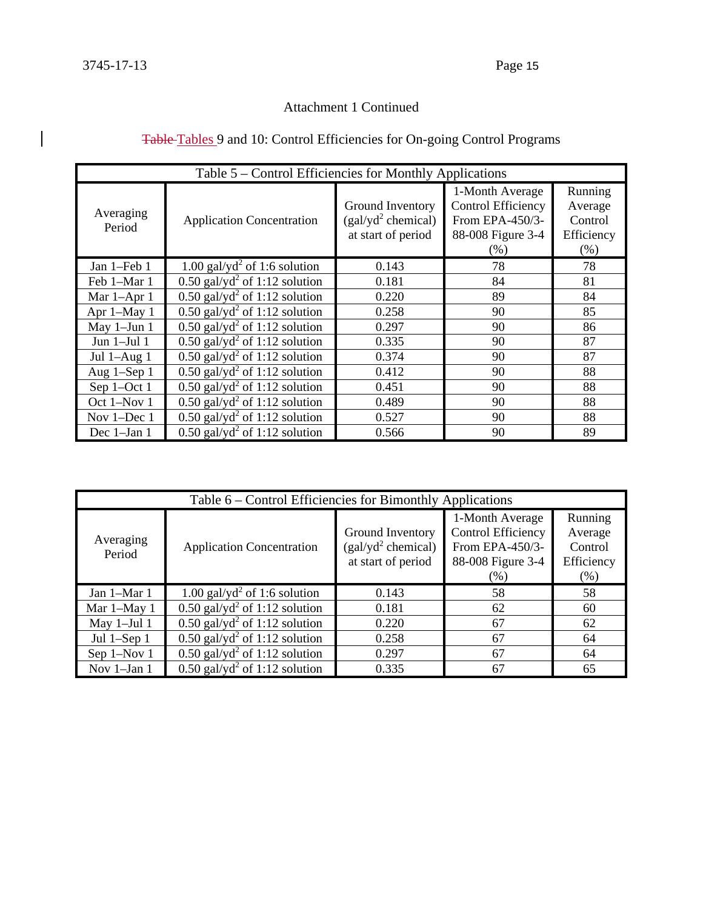| Table 5 – Control Efficiencies for Monthly Applications |                                                              |                                |                    |            |  |  |  |  |  |  |
|---------------------------------------------------------|--------------------------------------------------------------|--------------------------------|--------------------|------------|--|--|--|--|--|--|
|                                                         |                                                              |                                | 1-Month Average    | Running    |  |  |  |  |  |  |
|                                                         |                                                              | Ground Inventory               | Control Efficiency | Average    |  |  |  |  |  |  |
| Averaging<br>Period                                     | <b>Application Concentration</b>                             | (gal/yd <sup>2</sup> chemical) | From EPA-450/3-    | Control    |  |  |  |  |  |  |
|                                                         |                                                              | at start of period             | 88-008 Figure 3-4  | Efficiency |  |  |  |  |  |  |
|                                                         |                                                              |                                | (% )               | (% )       |  |  |  |  |  |  |
| Jan 1-Feb 1                                             | 1.00 gal/y $d^2$ of 1:6 solution                             | 0.143                          | 78                 | 78         |  |  |  |  |  |  |
| Feb 1-Mar 1                                             | $0.50$ gal/yd <sup>2</sup> of 1:12 solution                  | 0.181                          | 84                 | 81         |  |  |  |  |  |  |
| Mar 1-Apr 1                                             | $0.50$ gal/yd <sup>2</sup> of 1:12 solution                  | 0.220                          | 89                 | 84         |  |  |  |  |  |  |
| Apr 1-May 1                                             | $0.50$ gal/yd <sup>2</sup> of 1:12 solution                  | 0.258                          | 90                 | 85         |  |  |  |  |  |  |
| May 1-Jun 1                                             | $0.50$ gal/yd <sup>2</sup> of 1:12 solution                  | 0.297                          | 90                 | 86         |  |  |  |  |  |  |
| Jun $1-Jul$ $1$                                         | $0.50$ gal/yd <sup>2</sup> of 1:12 solution                  | 0.335                          | 90                 | 87         |  |  |  |  |  |  |
| Jul 1-Aug 1                                             | $0.50$ gal/yd <sup>2</sup> of 1:12 solution                  | 0.374                          | 90                 | 87         |  |  |  |  |  |  |
| Aug 1-Sep 1                                             | $0.50$ gal/yd <sup>2</sup> of 1:12 solution                  | 0.412                          | 90                 | 88         |  |  |  |  |  |  |
| Sep 1-Oct 1                                             | $0.50$ gal/yd <sup>2</sup> of 1:12 solution                  | 0.451                          | 90                 | 88         |  |  |  |  |  |  |
| Oct 1-Nov 1                                             | $0.50$ gal/yd <sup>2</sup> of 1:12 solution                  | 0.489                          | 90                 | 88         |  |  |  |  |  |  |
| Nov 1-Dec 1                                             | $\overline{0.50 \text{ gal/yd}^2 \text{ of } 1.12}$ solution | 0.527                          | 90                 | 88         |  |  |  |  |  |  |
| Dec 1-Jan 1                                             | $\overline{0.50}$ gal/yd <sup>2</sup> of 1:12 solution       | 0.566                          | 90                 | 89         |  |  |  |  |  |  |

# Table Tables 9 and 10: Control Efficiencies for On-going Control Programs

| Table 6 – Control Efficiencies for Bimonthly Applications |                                                     |                                                                          |                                                                                       |                                                       |  |  |  |  |  |  |
|-----------------------------------------------------------|-----------------------------------------------------|--------------------------------------------------------------------------|---------------------------------------------------------------------------------------|-------------------------------------------------------|--|--|--|--|--|--|
| Averaging<br>Period                                       | <b>Application Concentration</b>                    | Ground Inventory<br>(gal/yd <sup>2</sup> chemical)<br>at start of period | 1-Month Average<br>Control Efficiency<br>From EPA-450/3-<br>88-008 Figure 3-4<br>(% ) | Running<br>Average<br>Control<br>Efficiency<br>$(\%)$ |  |  |  |  |  |  |
| Jan 1-Mar 1                                               | 1.00 gal/yd <sup>2</sup> of 1:6 solution            | 0.143                                                                    | 58                                                                                    | 58                                                    |  |  |  |  |  |  |
| Mar 1-May 1                                               | $0.50$ gal/yd <sup>2</sup> of 1:12 solution         | 0.181                                                                    | 62                                                                                    | 60                                                    |  |  |  |  |  |  |
| May 1-Jul 1                                               | $0.50$ gal/yd <sup>2</sup> of 1:12 solution         | 0.220                                                                    | 67                                                                                    | 62                                                    |  |  |  |  |  |  |
| Jul $1$ -Sep $1$                                          | $0.50$ gal/yd <sup>2</sup> of 1:12 solution         | 0.258                                                                    | 67                                                                                    | 64                                                    |  |  |  |  |  |  |
| Sep 1-Nov 1                                               | $0.50$ gal/yd <sup>2</sup> of 1:12 solution         | 0.297                                                                    | 67                                                                                    | 64                                                    |  |  |  |  |  |  |
| Nov 1-Jan 1                                               | $\overline{0.50 \text{ gal}/yd^2}$ of 1:12 solution | 0.335                                                                    | 67                                                                                    | 65                                                    |  |  |  |  |  |  |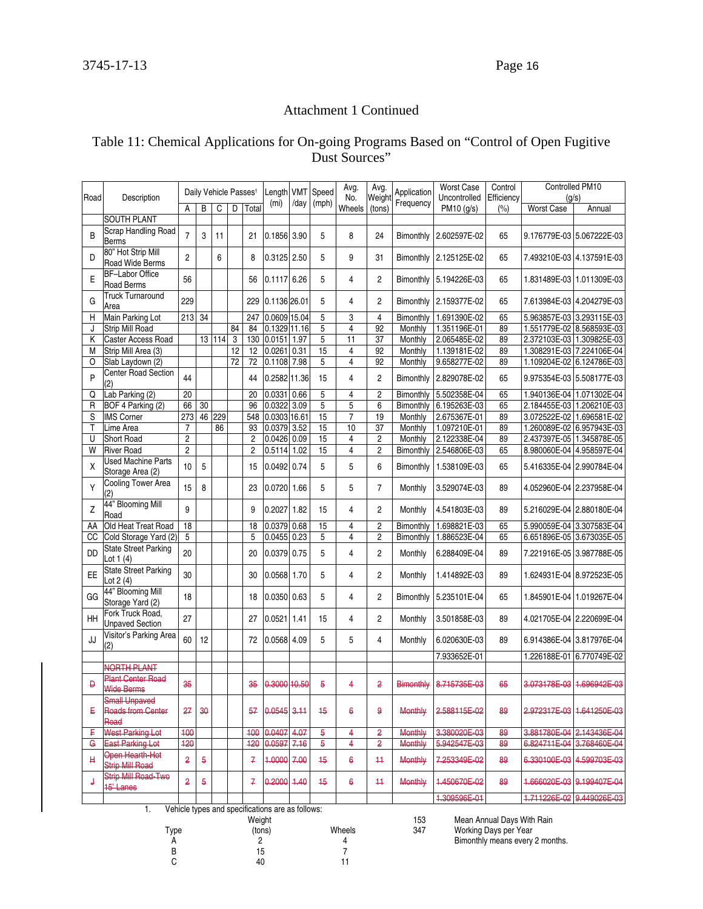## Table 11: Chemical Applications for On-going Programs Based on "Control of Open Fugitive Dust Sources"

| Road        | Description                                              |                 | Daily Vehicle Passes <sup>1</sup> |        |                 |                 | Length            | <b>VMT</b> | Speed           | Avg.<br>No.         | Avg.<br>Weight | Application    | <b>Worst Case</b><br>Uncontrolled | Control<br>Efficiency |                           | Controlled PM10<br>(q/s)  |
|-------------|----------------------------------------------------------|-----------------|-----------------------------------|--------|-----------------|-----------------|-------------------|------------|-----------------|---------------------|----------------|----------------|-----------------------------------|-----------------------|---------------------------|---------------------------|
|             |                                                          | Α               | B                                 | C      | D               | Total           | (m <sub>i</sub> ) | /day       | (mph)           | Wheels              | (tons)         | Frequency      | PM10 (g/s)                        | (%)                   | <b>Worst Case</b>         | Annual                    |
|             | <b>SOUTH PLANT</b>                                       |                 |                                   |        |                 |                 |                   |            |                 |                     |                |                |                                   |                       |                           |                           |
| B           | Scrap Handling Road<br><b>Berms</b>                      | $\overline{7}$  | 3                                 | 11     |                 | 21              | 0.1856 3.90       |            | 5               | 8                   | 24             | Bimonthly      | 2.602597E-02                      | 65                    |                           | 9.176779E-03 5.067222E-03 |
| D           | 80" Hot Strip Mill<br>Road Wide Berms                    | $\overline{c}$  |                                   | 6      |                 | 8               | 0.3125 2.50       |            | 5               | 9                   | 31             | Bimonthly      | 2.125125E-02                      | 65                    |                           | 7.493210E-03 4.137591E-03 |
| E           | <b>BF-Labor Office</b><br><b>Road Berms</b>              | 56              |                                   |        |                 | 56              | 0.11176.26        |            | 5               | 4                   | $\overline{c}$ | Bimonthly      | 5.194226E-03                      | 65                    |                           | 1.831489E-03 1.011309E-03 |
| G           | <b>Truck Turnaround</b><br>Area                          | 229             |                                   |        |                 | 229             | 0.1136 26.01      |            | 5               | 4                   | $\overline{c}$ | Bimonthly      | 2.159377E-02                      | 65                    |                           | 7.613984E-03 4.204279E-03 |
| Н           | Main Parking Lot                                         | $213 \mid 34$   |                                   |        |                 | 247             | 0.0609 15.04      |            | 5               | 3                   | 4              | Bimonthly      | 1.691390E-02                      | 65                    |                           | 5.963857E-03 3.293115E-03 |
| J           | <b>Strip Mill Road</b>                                   |                 |                                   |        | 84              | 84              | 0.1329 11.16      |            | 5               | $\overline{4}$      | 92             | Monthly        | 1.351196E-01                      | 89                    |                           | 1.551779E-02 8.568593E-03 |
| Κ           | Caster Access Road                                       |                 |                                   | 13 114 | 3               | 130             | 0.0151            | 1.97       | 5               | 11                  | 37             | Monthly        | 2.065485E-02                      | 89                    | 2.372103E-03 1.309825E-03 |                           |
| M           | Strip Mill Area (3)                                      |                 |                                   |        | 12              | 12              | 0.0261            | 0.31       | 15              | 4                   | 92             | Monthly        | 1.139181E-02                      | 89                    |                           | 1.308291E-03 7.224106E-04 |
| 0           | Slab Laydown (2)                                         |                 |                                   |        | $\overline{72}$ | $\overline{72}$ | 0.1108 7.98       |            | 5               | 4                   | 92             | Monthly        | 9.658277E-02                      | 89                    |                           | 1.109204E-02 6.124786E-03 |
| P           | <b>Center Road Section</b><br>(2)                        | 44              |                                   |        |                 | 44              | 0.2582 11.36      |            | 15              | 4                   | $\overline{2}$ | Bimonthly      | 2.829078E-02                      | 65                    |                           | 9.975354E-03 5.508177E-03 |
| Q           | Lab Parking (2)                                          | 20              |                                   |        |                 | 20              | 0.0331            | 0.66       | 5               | 4                   | $\overline{2}$ | Bimonthly      | 5.502358E-04                      | 65                    |                           | 1.940136E-04 1.071302E-04 |
| R           | BOF 4 Parking (2)                                        | 66              | 30                                |        |                 | 96              | 0.0322            | 3.09       | 5               | 5                   | 6              | Bimonthly      | 6.195263E-03                      | 65                    | 2.184455E-03 1.206210E-03 |                           |
| S           | <b>IMS</b> Corner                                        | 273             | 46                                | 229    |                 | 548             | 0.0303 16.61      |            | 15              | $\overline{7}$      | 19             | Monthly        | 2.675367E-01                      | 89                    | 3.072522E-02 1.696581E-02 |                           |
| T           |                                                          | $\overline{7}$  |                                   | 86     |                 | 93              | 0.0379            | 3.52       | 15              | 10                  | 37             | Monthly        |                                   | 89                    |                           |                           |
|             | Lime Area                                                |                 |                                   |        |                 |                 |                   |            |                 |                     |                |                | 1.097210E-01                      |                       |                           | 1.260089E-02 6.957943E-03 |
| U           | Short Road                                               | $\overline{c}$  |                                   |        |                 | $\overline{c}$  | 0.0426            | 0.09       | 15<br>15        | 4<br>$\overline{4}$ | $\overline{c}$ | Monthly        | 2.122338E-04<br>2.546806E-03      | 89                    | 2.437397E-05              | 1.345878E-05              |
| W           | <b>River Road</b>                                        | $\overline{2}$  |                                   |        |                 | $\overline{2}$  | 0.5114 1.02       |            |                 |                     | $\overline{2}$ | Bimonthly      |                                   | 65                    | 8.980060E-04 4.958597E-04 |                           |
| X           | <b>Used Machine Parts</b><br>Storage Area (2)            | 10              | 5                                 |        |                 | 15              | 0.0492 0.74       |            | 5               | 5                   | 6              | Bimonthly      | 1.538109E-03                      | 65                    |                           | 5.416335E-04 2.990784E-04 |
| Y           | Cooling Tower Area<br>(2)                                | 15              | 8                                 |        |                 | 23              | 0.0720 1.66       |            | 5               | 5                   | $\overline{7}$ | Monthly        | 3.529074E-03                      | 89                    |                           | 4.052960E-04 2.237958E-04 |
| Z           | 44" Blooming Mill<br>Road                                | 9               |                                   |        |                 | 9               | $0.2027$ 1.82     |            | 15              | 4                   | $\overline{c}$ | Monthly        | 4.541803E-03                      | 89                    |                           | 5.216029E-04 2.880180E-04 |
| AA          | Old Heat Treat Road                                      | $\overline{18}$ |                                   |        |                 | 18              | 0.0379            | 0.68       | 15              | 4                   | $\overline{2}$ | Bimonthly      | 1.698821E-03                      | 65                    |                           | 5.990059E-04 3.307583E-04 |
| СC          | Cold Storage Yard (2)                                    | 5               |                                   |        |                 | 5               | 0.0455            | 0.23       | 5               | 4                   | $\overline{c}$ | Bimonthly      | 1.886523E-04                      | 65                    | 6.651896E-05 3.673035E-05 |                           |
| <b>DD</b>   | <b>State Street Parking</b><br>Lot $1(4)$                | 20              |                                   |        |                 | 20              | 0.0379 0.75       |            | 5               | 4                   | $\overline{2}$ | Monthly        | 6.288409E-04                      | 89                    |                           | 7.221916E-05 3.987788E-05 |
| EE          | <b>State Street Parking</b><br>Lot $2(4)$                | 30              |                                   |        |                 | 30              | 0.0568 1.70       |            | 5               | 4                   | $\overline{c}$ | Monthly        | 1.414892E-03                      | 89                    |                           | 1.624931E-04 8.972523E-05 |
| GG          | 44" Blooming Mill<br>Storage Yard (2)                    | 18              |                                   |        |                 | 18              | $0.0350$ 0.63     |            | 5               | 4                   | $\overline{c}$ | Bimonthly      | 5.235101E-04                      | 65                    |                           | 1.845901E-04 1.019267E-04 |
| HΗ          | Fork Truck Road,<br><b>Unpaved Section</b>               | 27              |                                   |        |                 | 27              | 0.0521            | 1.41       | 15              | 4                   | $\overline{c}$ | Monthly        | 3.501858E-03                      | 89                    |                           | 4.021705E-04 2.220699E-04 |
| JJ          | Visitor's Parking Area<br>(2)                            | 60              | 12                                |        |                 | 72              | 0.0568 4.09       |            | 5               | 5                   | 4              | Monthly        | 6.020630E-03                      | 89                    |                           | 6.914386E-04 3.817976E-04 |
|             |                                                          |                 |                                   |        |                 |                 |                   |            |                 |                     |                |                | 7.933652E-01                      |                       |                           | 1.226188E-01 6.770749E-02 |
|             | NORTH PLANT                                              |                 |                                   |        |                 |                 |                   |            |                 |                     |                |                |                                   |                       |                           |                           |
| Đ           | <b>Plant Center Road</b><br><b>Wide Berms</b>            | 35              |                                   |        |                 | 35              | 0.3000 10.50      |            | 5               | 4                   | 2              |                | Bimonthly 8.715735E-03            | 65                    |                           | 3.073178E-03 1.696942E-03 |
| Ε           | <b>Small Unpaved</b><br><b>Roads from Center</b><br>Road | 27              | 30                                |        |                 | 57              | 0.0545            | 3.11       | $+5$            | $\epsilon$          | 9              | Monthly        | 2.588115E-02                      | 89                    |                           | 2.972317E-03 1.641250E-03 |
| ₽           | <b>West Parking Lot</b>                                  | 400             |                                   |        |                 | 400             | 0.0407            | 4.07       | 5               | 4                   | 2              | <b>Monthly</b> | 3.380020E-03                      | 89                    | 3.881780E-04              | 2.143436E-04              |
| G           | <b>East Parking Lot</b>                                  | 120             |                                   |        |                 | 420             | 0.0597            | 7.16       | 5               | 4                   | 2              | <b>Monthly</b> | 5.942547E-03                      | 89                    | 6.824711E-04              | 3.768460E-04              |
| $\mathbf H$ | Open Hearth-Hot<br><b>Strip Mill Road</b>                | 2               | $\overline{6}$                    |        |                 | 7               | 1.0000            | 7.00       | $\overline{45}$ | $\epsilon$          | $\ddagger$     | Monthly        | 7.253349E-02                      | 89                    | 6.330100E-03              | 4.599703E-03              |
| ₹           | Strip Mill Road-Two<br>15' Lanes                         | 2               | 5                                 |        |                 | 7               | 0.2000            | 4.40       | 45              | $\epsilon$          | 44             | Monthly        | 1.450670E-02                      | 89                    |                           | 1.666020E-03 9.199407E-04 |
|             |                                                          |                 |                                   |        |                 |                 |                   |            |                 |                     |                |                | 1.309596E-01                      |                       | 1.711226E-02              | 9.449026E-03              |

1. Vehicle types and specifications are as follows:

|      | Weight |        | 153 | Mean Annual Days With Rain      |
|------|--------|--------|-----|---------------------------------|
| Type | (tons) | Wheels | 347 | Working Days per Year           |
|      |        |        |     | Bimonthly means every 2 months. |
|      | 15     |        |     |                                 |
|      | 40     |        |     |                                 |